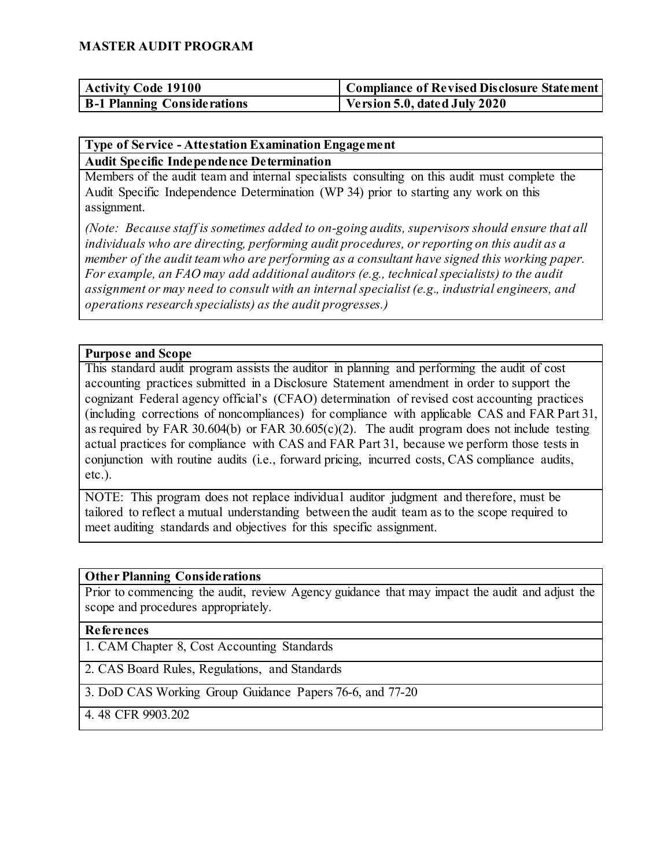| <b>Activity Code 19100</b>         | Compliance of Revised Disclosure Statement |
|------------------------------------|--------------------------------------------|
| <b>B-1 Planning Considerations</b> | Version 5.0, dated July 2020               |

# **Type of Service - Attestation Examination Engagement**

**Audit Specific Independence Determination**

Members of the audit team and internal specialists consulting on this audit must complete the Audit Specific Independence Determination (WP 34) prior to starting any work on this assignment.

*(Note: Because staff is sometimes added to on-going audits, supervisors should ensure that all individuals who are directing, performing audit procedures, or reporting on this audit as a member of the audit team who are performing as a consultant have signed this working paper. For example, an FAO may add additional auditors (e.g., technical specialists) to the audit assignment or may need to consult with an internal specialist (e.g., industrial engineers, and operations research specialists) as the audit progresses.)*

#### **Purpose and Scope**

This standard audit program assists the auditor in planning and performing the audit of cost accounting practices submitted in a Disclosure Statement amendment in order to support the cognizant Federal agency official's (CFAO) determination of revised cost accounting practices (including corrections of noncompliances) for compliance with applicable CAS and FAR Part 31, as required by FAR 30.604(b) or FAR 30.605(c)(2). The audit program does not include testing actual practices for compliance with CAS and FAR Part 31, because we perform those tests in conjunction with routine audits (i.e., forward pricing, incurred costs, CAS compliance audits, etc.).

NOTE: This program does not replace individual auditor judgment and therefore, must be tailored to reflect a mutual understanding between the audit team as to the scope required to meet auditing standards and objectives for this specific assignment.

#### **Other Planning Considerations**

Prior to commencing the audit, review Agency guidance that may impact the audit and adjust the scope and procedures appropriately.

#### **References**

1. CAM Chapter 8, Cost Accounting Standards

2. CAS Board Rules, Regulations, and Standards

3. DoD CAS Working Group Guidance Papers 76-6, and 77-20

4. 48 CFR 9903.202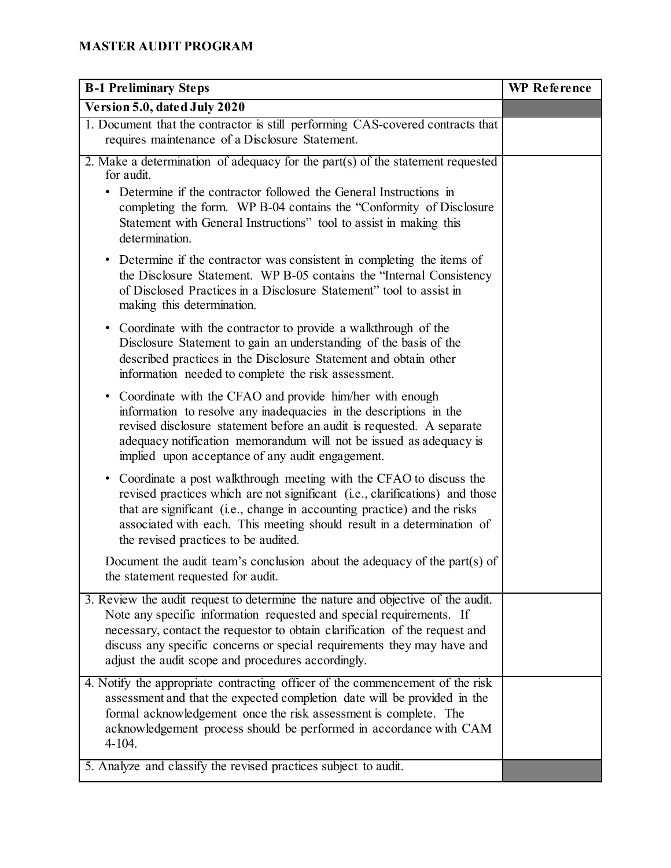| <b>B-1 Preliminary Steps</b>                                                                                                                                                                                                                                                                                                                                            | <b>WP</b> Reference |
|-------------------------------------------------------------------------------------------------------------------------------------------------------------------------------------------------------------------------------------------------------------------------------------------------------------------------------------------------------------------------|---------------------|
| Version 5.0, dated July 2020                                                                                                                                                                                                                                                                                                                                            |                     |
| 1. Document that the contractor is still performing CAS-covered contracts that<br>requires maintenance of a Disclosure Statement.                                                                                                                                                                                                                                       |                     |
| 2. Make a determination of adequacy for the part $(s)$ of the statement requested<br>for audit.                                                                                                                                                                                                                                                                         |                     |
| Determine if the contractor followed the General Instructions in<br>completing the form. WP B-04 contains the "Conformity of Disclosure<br>Statement with General Instructions" tool to assist in making this<br>determination.                                                                                                                                         |                     |
| • Determine if the contractor was consistent in completing the items of<br>the Disclosure Statement. WP B-05 contains the "Internal Consistency"<br>of Disclosed Practices in a Disclosure Statement" tool to assist in<br>making this determination.                                                                                                                   |                     |
| • Coordinate with the contractor to provide a walkthrough of the<br>Disclosure Statement to gain an understanding of the basis of the<br>described practices in the Disclosure Statement and obtain other<br>information needed to complete the risk assessment.                                                                                                        |                     |
| • Coordinate with the CFAO and provide him/her with enough<br>information to resolve any inadequacies in the descriptions in the<br>revised disclosure statement before an audit is requested. A separate<br>adequacy notification memorandum will not be issued as adequacy is<br>implied upon acceptance of any audit engagement.                                     |                     |
| Coordinate a post walkthrough meeting with the CFAO to discuss the<br>$\bullet$<br>revised practices which are not significant (i.e., clarifications) and those<br>that are significant (i.e., change in accounting practice) and the risks<br>associated with each. This meeting should result in a determination of<br>the revised practices to be audited.           |                     |
| Document the audit team's conclusion about the adequacy of the part(s) of<br>the statement requested for audit.                                                                                                                                                                                                                                                         |                     |
| 3. Review the audit request to determine the nature and objective of the audit.<br>Note any specific information requested and special requirements. If<br>necessary, contact the requestor to obtain clarification of the request and<br>discuss any specific concerns or special requirements they may have and<br>adjust the audit scope and procedures accordingly. |                     |
| 4. Notify the appropriate contracting officer of the commencement of the risk<br>assessment and that the expected completion date will be provided in the<br>formal acknowledgement once the risk assessment is complete. The<br>acknowledgement process should be performed in accordance with CAM<br>4-104.                                                           |                     |
| 5. Analyze and classify the revised practices subject to audit.                                                                                                                                                                                                                                                                                                         |                     |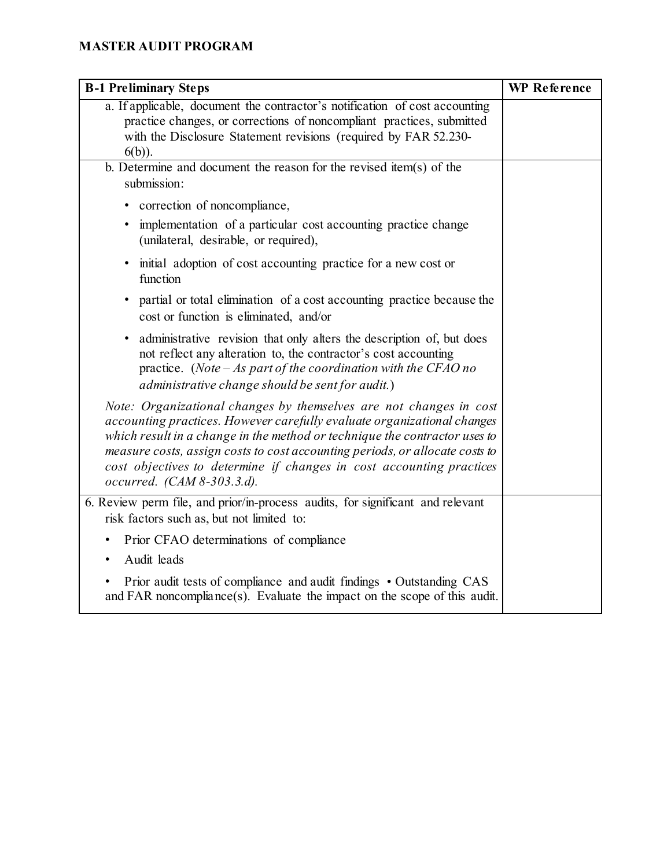| <b>B-1 Preliminary Steps</b>                                                                                                                                                                                                                                                                                                                                                                                      | WP Reference |
|-------------------------------------------------------------------------------------------------------------------------------------------------------------------------------------------------------------------------------------------------------------------------------------------------------------------------------------------------------------------------------------------------------------------|--------------|
| a. If applicable, document the contractor's notification of cost accounting<br>practice changes, or corrections of noncompliant practices, submitted<br>with the Disclosure Statement revisions (required by FAR 52.230-<br>$6(b)$ ).                                                                                                                                                                             |              |
| b. Determine and document the reason for the revised item(s) of the<br>submission:                                                                                                                                                                                                                                                                                                                                |              |
| • correction of noncompliance,                                                                                                                                                                                                                                                                                                                                                                                    |              |
| implementation of a particular cost accounting practice change<br>$\bullet$<br>(unilateral, desirable, or required),                                                                                                                                                                                                                                                                                              |              |
| • initial adoption of cost accounting practice for a new cost or<br>function                                                                                                                                                                                                                                                                                                                                      |              |
| partial or total elimination of a cost accounting practice because the<br>$\bullet$<br>cost or function is eliminated, and/or                                                                                                                                                                                                                                                                                     |              |
| administrative revision that only alters the description of, but does<br>$\bullet$<br>not reflect any alteration to, the contractor's cost accounting<br>practice. (Note $-$ As part of the coordination with the CFAO no<br>administrative change should be sent for audit.)                                                                                                                                     |              |
| Note: Organizational changes by themselves are not changes in cost<br>accounting practices. However carefully evaluate organizational changes<br>which result in a change in the method or technique the contractor uses to<br>measure costs, assign costs to cost accounting periods, or allocate costs to<br>cost objectives to determine if changes in cost accounting practices<br>occurred. (CAM 8-303.3.d). |              |
| 6. Review perm file, and prior/in-process audits, for significant and relevant<br>risk factors such as, but not limited to:                                                                                                                                                                                                                                                                                       |              |
| Prior CFAO determinations of compliance<br>٠<br>Audit leads<br>$\bullet$                                                                                                                                                                                                                                                                                                                                          |              |
| Prior audit tests of compliance and audit findings • Outstanding CAS<br>$\bullet$<br>and FAR noncompliance(s). Evaluate the impact on the scope of this audit.                                                                                                                                                                                                                                                    |              |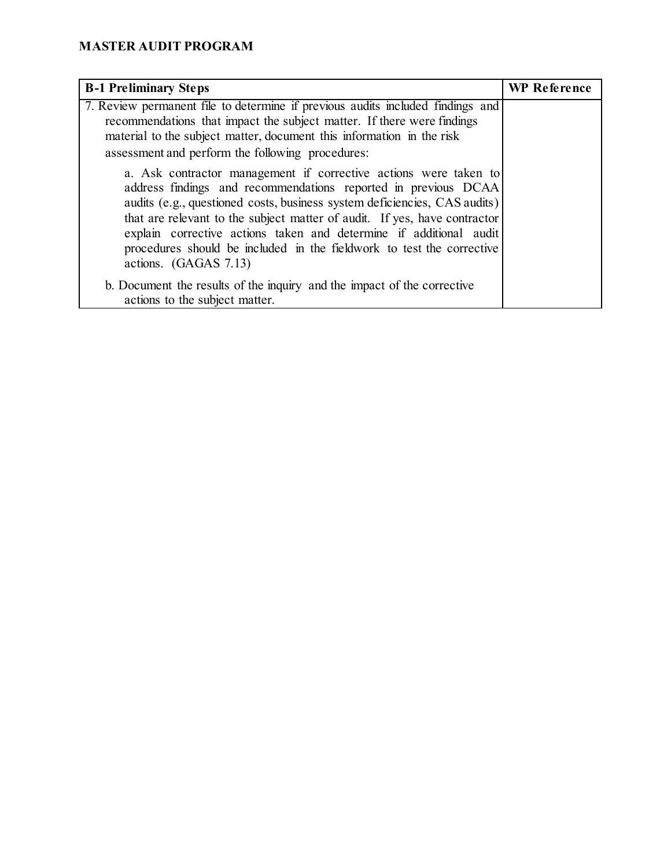| <b>B-1 Preliminary Steps</b>                                                                                                                                                                                                                                                                                                                                                                                                                                         | <b>WP</b> Reference |
|----------------------------------------------------------------------------------------------------------------------------------------------------------------------------------------------------------------------------------------------------------------------------------------------------------------------------------------------------------------------------------------------------------------------------------------------------------------------|---------------------|
| 7. Review permanent file to determine if previous audits included findings and<br>recommendations that impact the subject matter. If there were findings<br>material to the subject matter, document this information in the risk<br>assessment and perform the following procedures:                                                                                                                                                                                |                     |
| a. Ask contractor management if corrective actions were taken to<br>address findings and recommendations reported in previous DCAA<br>audits (e.g., questioned costs, business system deficiencies, CAS audits)<br>that are relevant to the subject matter of audit. If yes, have contractor<br>explain corrective actions taken and determine if additional audit<br>procedures should be included in the fieldwork to test the corrective<br>actions. (GAGAS 7.13) |                     |
| b. Document the results of the inquiry and the impact of the corrective<br>actions to the subject matter.                                                                                                                                                                                                                                                                                                                                                            |                     |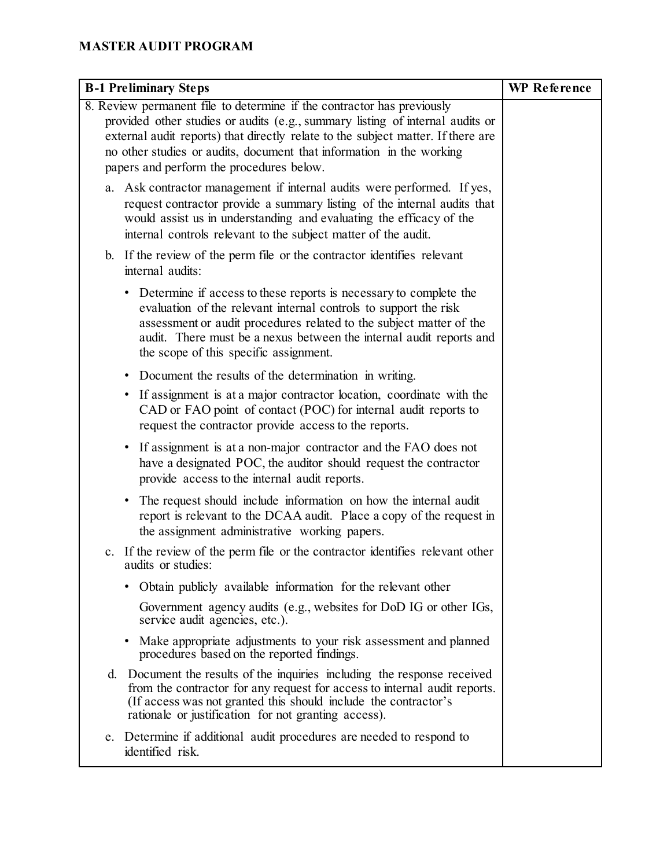| <b>B-1 Preliminary Steps</b>                                                                                                                                                                                                                                                                                                                                    | <b>WP</b> Reference |
|-----------------------------------------------------------------------------------------------------------------------------------------------------------------------------------------------------------------------------------------------------------------------------------------------------------------------------------------------------------------|---------------------|
| 8. Review permanent file to determine if the contractor has previously<br>provided other studies or audits (e.g., summary listing of internal audits or<br>external audit reports) that directly relate to the subject matter. If there are<br>no other studies or audits, document that information in the working<br>papers and perform the procedures below. |                     |
| a. Ask contractor management if internal audits were performed. If yes,<br>request contractor provide a summary listing of the internal audits that<br>would assist us in understanding and evaluating the efficacy of the<br>internal controls relevant to the subject matter of the audit.                                                                    |                     |
| b. If the review of the perm file or the contractor identifies relevant<br>internal audits:                                                                                                                                                                                                                                                                     |                     |
| • Determine if access to these reports is necessary to complete the<br>evaluation of the relevant internal controls to support the risk<br>assessment or audit procedures related to the subject matter of the<br>audit. There must be a nexus between the internal audit reports and<br>the scope of this specific assignment.                                 |                     |
| Document the results of the determination in writing.                                                                                                                                                                                                                                                                                                           |                     |
| • If assignment is at a major contractor location, coordinate with the<br>CAD or FAO point of contact (POC) for internal audit reports to<br>request the contractor provide access to the reports.                                                                                                                                                              |                     |
| • If assignment is at a non-major contractor and the FAO does not<br>have a designated POC, the auditor should request the contractor<br>provide access to the internal audit reports.                                                                                                                                                                          |                     |
| The request should include information on how the internal audit<br>٠<br>report is relevant to the DCAA audit. Place a copy of the request in<br>the assignment administrative working papers.                                                                                                                                                                  |                     |
| If the review of the perm file or the contractor identifies relevant other<br>c.<br>audits or studies:                                                                                                                                                                                                                                                          |                     |
| Obtain publicly available information for the relevant other                                                                                                                                                                                                                                                                                                    |                     |
| Government agency audits (e.g., websites for DoD IG or other IGs,<br>service audit agencies, etc.).                                                                                                                                                                                                                                                             |                     |
| • Make appropriate adjustments to your risk assessment and planned<br>procedures based on the reported findings.                                                                                                                                                                                                                                                |                     |
| d. Document the results of the inquiries including the response received<br>from the contractor for any request for access to internal audit reports.<br>(If access was not granted this should include the contractor's<br>rationale or justification for not granting access).                                                                                |                     |
| e. Determine if additional audit procedures are needed to respond to<br>identified risk.                                                                                                                                                                                                                                                                        |                     |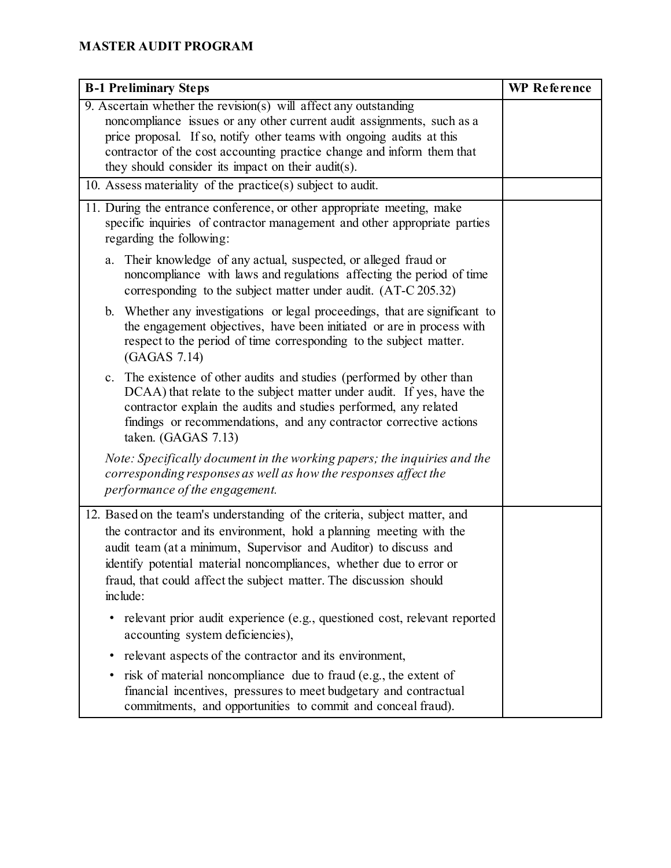| <b>B-1 Preliminary Steps</b>                                                                                                                                                                                                                                                                                                                                                    | WP Reference |
|---------------------------------------------------------------------------------------------------------------------------------------------------------------------------------------------------------------------------------------------------------------------------------------------------------------------------------------------------------------------------------|--------------|
| 9. Ascertain whether the revision(s) will affect any outstanding<br>noncompliance issues or any other current audit assignments, such as a<br>price proposal. If so, notify other teams with ongoing audits at this<br>contractor of the cost accounting practice change and inform them that<br>they should consider its impact on their audit(s).                             |              |
| 10. Assess materiality of the practice(s) subject to audit.                                                                                                                                                                                                                                                                                                                     |              |
| 11. During the entrance conference, or other appropriate meeting, make<br>specific inquiries of contractor management and other appropriate parties<br>regarding the following:                                                                                                                                                                                                 |              |
| Their knowledge of any actual, suspected, or alleged fraud or<br>a.<br>noncompliance with laws and regulations affecting the period of time<br>corresponding to the subject matter under audit. (AT-C 205.32)                                                                                                                                                                   |              |
| b. Whether any investigations or legal proceedings, that are significant to<br>the engagement objectives, have been initiated or are in process with<br>respect to the period of time corresponding to the subject matter.<br>(GAGAS 7.14)                                                                                                                                      |              |
| The existence of other audits and studies (performed by other than<br>$c_{\cdot}$<br>DCAA) that relate to the subject matter under audit. If yes, have the<br>contractor explain the audits and studies performed, any related<br>findings or recommendations, and any contractor corrective actions<br>taken. (GAGAS 7.13)                                                     |              |
| Note: Specifically document in the working papers; the inquiries and the<br>corresponding responses as well as how the responses affect the<br>performance of the engagement.                                                                                                                                                                                                   |              |
| 12. Based on the team's understanding of the criteria, subject matter, and<br>the contractor and its environment, hold a planning meeting with the<br>audit team (at a minimum, Supervisor and Auditor) to discuss and<br>identify potential material noncompliances, whether due to error or<br>fraud, that could affect the subject matter. The discussion should<br>include: |              |
| relevant prior audit experience (e.g., questioned cost, relevant reported<br>accounting system deficiencies),                                                                                                                                                                                                                                                                   |              |
| relevant aspects of the contractor and its environment,<br>٠                                                                                                                                                                                                                                                                                                                    |              |
| risk of material noncompliance due to fraud (e.g., the extent of<br>financial incentives, pressures to meet budgetary and contractual<br>commitments, and opportunities to commit and conceal fraud).                                                                                                                                                                           |              |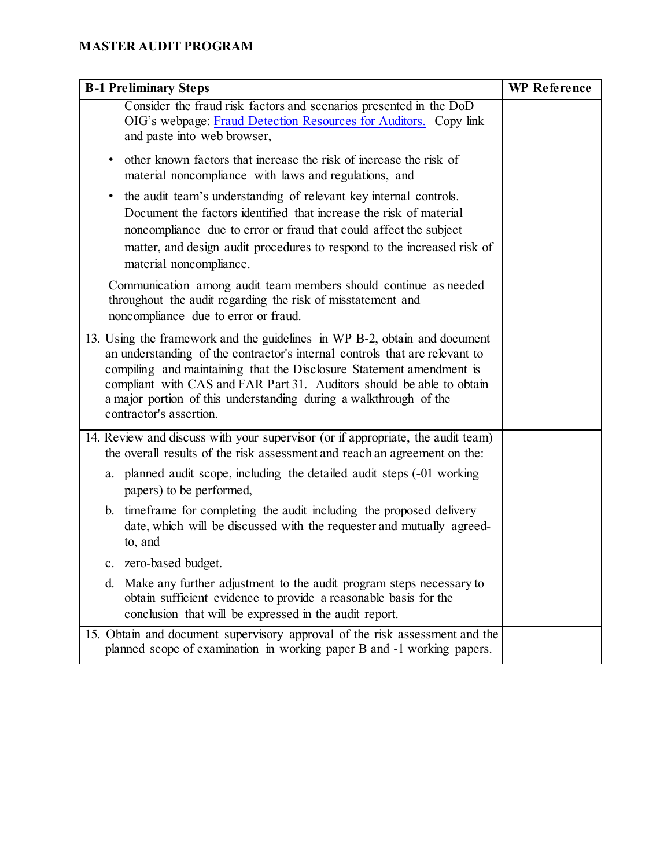| <b>B-1 Preliminary Steps</b>                                                                                                                                                                                                                                                                                                                                                                              | <b>WP</b> Reference |
|-----------------------------------------------------------------------------------------------------------------------------------------------------------------------------------------------------------------------------------------------------------------------------------------------------------------------------------------------------------------------------------------------------------|---------------------|
| Consider the fraud risk factors and scenarios presented in the DoD<br>OIG's webpage: Fraud Detection Resources for Auditors. Copy link<br>and paste into web browser,                                                                                                                                                                                                                                     |                     |
| other known factors that increase the risk of increase the risk of<br>material noncompliance with laws and regulations, and                                                                                                                                                                                                                                                                               |                     |
| the audit team's understanding of relevant key internal controls.<br>$\bullet$<br>Document the factors identified that increase the risk of material<br>noncompliance due to error or fraud that could affect the subject<br>matter, and design audit procedures to respond to the increased risk of<br>material noncompliance.                                                                           |                     |
| Communication among audit team members should continue as needed<br>throughout the audit regarding the risk of misstatement and<br>noncompliance due to error or fraud.                                                                                                                                                                                                                                   |                     |
| 13. Using the framework and the guidelines in WP B-2, obtain and document<br>an understanding of the contractor's internal controls that are relevant to<br>compiling and maintaining that the Disclosure Statement amendment is<br>compliant with CAS and FAR Part 31. Auditors should be able to obtain<br>a major portion of this understanding during a walkthrough of the<br>contractor's assertion. |                     |
| 14. Review and discuss with your supervisor (or if appropriate, the audit team)<br>the overall results of the risk assessment and reach an agreement on the:                                                                                                                                                                                                                                              |                     |
| a. planned audit scope, including the detailed audit steps (-01 working<br>papers) to be performed,                                                                                                                                                                                                                                                                                                       |                     |
| b. timeframe for completing the audit including the proposed delivery<br>date, which will be discussed with the requester and mutually agreed-<br>to, and                                                                                                                                                                                                                                                 |                     |
| c. zero-based budget.                                                                                                                                                                                                                                                                                                                                                                                     |                     |
| Make any further adjustment to the audit program steps necessary to<br>d.<br>obtain sufficient evidence to provide a reasonable basis for the<br>conclusion that will be expressed in the audit report.                                                                                                                                                                                                   |                     |
| 15. Obtain and document supervisory approval of the risk assessment and the<br>planned scope of examination in working paper B and -1 working papers.                                                                                                                                                                                                                                                     |                     |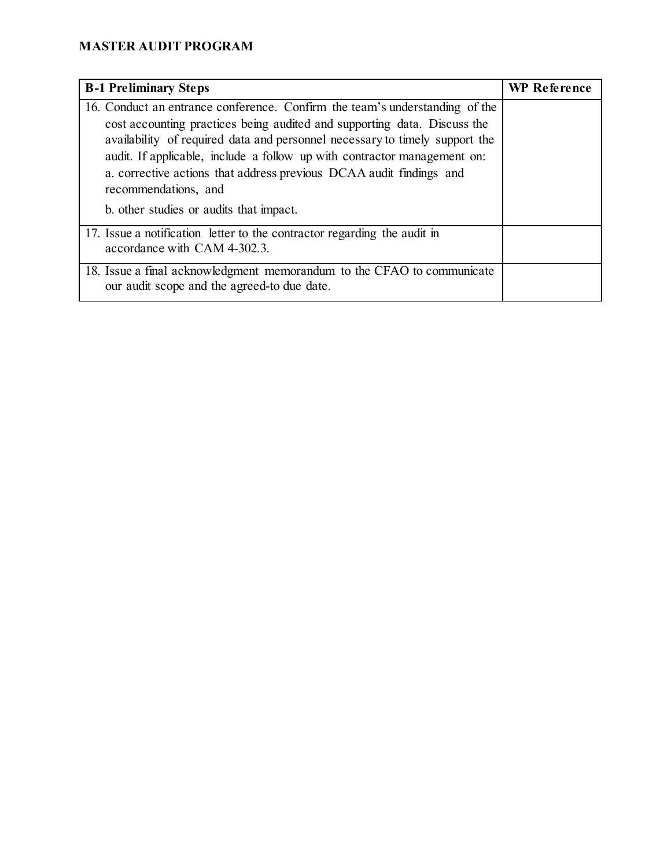| <b>B-1 Preliminary Steps</b>                                                                                                                                                                                                                                                                                                                                                                                                                                 | <b>WP</b> Reference |
|--------------------------------------------------------------------------------------------------------------------------------------------------------------------------------------------------------------------------------------------------------------------------------------------------------------------------------------------------------------------------------------------------------------------------------------------------------------|---------------------|
| 16. Conduct an entrance conference. Confirm the team's understanding of the<br>cost accounting practices being audited and supporting data. Discuss the<br>availability of required data and personnel necessary to timely support the<br>audit. If applicable, include a follow up with contractor management on:<br>a. corrective actions that address previous DCAA audit findings and<br>recommendations, and<br>b. other studies or audits that impact. |                     |
| 17. Issue a notification letter to the contractor regarding the audit in<br>accordance with CAM 4-302.3.                                                                                                                                                                                                                                                                                                                                                     |                     |
| 18. Issue a final acknowledgment memorandum to the CFAO to communicate<br>our audit scope and the agreed-to due date.                                                                                                                                                                                                                                                                                                                                        |                     |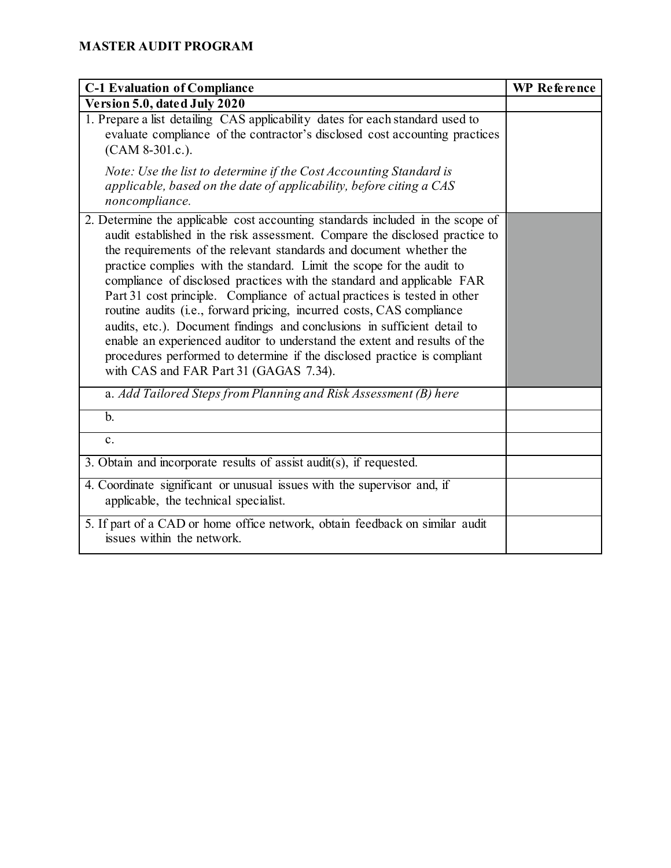| <b>C-1 Evaluation of Compliance</b>                                                                                                                                                                                                                                                                                                                                                                                                                                                                                                                                                                                                                                                                                                                                                                                          | <b>WP</b> Reference |
|------------------------------------------------------------------------------------------------------------------------------------------------------------------------------------------------------------------------------------------------------------------------------------------------------------------------------------------------------------------------------------------------------------------------------------------------------------------------------------------------------------------------------------------------------------------------------------------------------------------------------------------------------------------------------------------------------------------------------------------------------------------------------------------------------------------------------|---------------------|
| Version 5.0, dated July 2020                                                                                                                                                                                                                                                                                                                                                                                                                                                                                                                                                                                                                                                                                                                                                                                                 |                     |
| 1. Prepare a list detailing CAS applicability dates for each standard used to<br>evaluate compliance of the contractor's disclosed cost accounting practices<br>(CAM 8-301.c.).                                                                                                                                                                                                                                                                                                                                                                                                                                                                                                                                                                                                                                              |                     |
| Note: Use the list to determine if the Cost Accounting Standard is<br>applicable, based on the date of applicability, before citing a CAS<br>noncompliance.                                                                                                                                                                                                                                                                                                                                                                                                                                                                                                                                                                                                                                                                  |                     |
| 2. Determine the applicable cost accounting standards included in the scope of<br>audit established in the risk assessment. Compare the disclosed practice to<br>the requirements of the relevant standards and document whether the<br>practice complies with the standard. Limit the scope for the audit to<br>compliance of disclosed practices with the standard and applicable FAR<br>Part 31 cost principle. Compliance of actual practices is tested in other<br>routine audits (i.e., forward pricing, incurred costs, CAS compliance<br>audits, etc.). Document findings and conclusions in sufficient detail to<br>enable an experienced auditor to understand the extent and results of the<br>procedures performed to determine if the disclosed practice is compliant<br>with CAS and FAR Part 31 (GAGAS 7.34). |                     |
| a. Add Tailored Steps from Planning and Risk Assessment (B) here                                                                                                                                                                                                                                                                                                                                                                                                                                                                                                                                                                                                                                                                                                                                                             |                     |
| $\mathbf{b}$ .                                                                                                                                                                                                                                                                                                                                                                                                                                                                                                                                                                                                                                                                                                                                                                                                               |                     |
| $\mathbf{c}$ .                                                                                                                                                                                                                                                                                                                                                                                                                                                                                                                                                                                                                                                                                                                                                                                                               |                     |
| 3. Obtain and incorporate results of assist audit(s), if requested.                                                                                                                                                                                                                                                                                                                                                                                                                                                                                                                                                                                                                                                                                                                                                          |                     |
| 4. Coordinate significant or unusual issues with the supervisor and, if<br>applicable, the technical specialist.                                                                                                                                                                                                                                                                                                                                                                                                                                                                                                                                                                                                                                                                                                             |                     |
| 5. If part of a CAD or home office network, obtain feedback on similar audit<br>issues within the network.                                                                                                                                                                                                                                                                                                                                                                                                                                                                                                                                                                                                                                                                                                                   |                     |